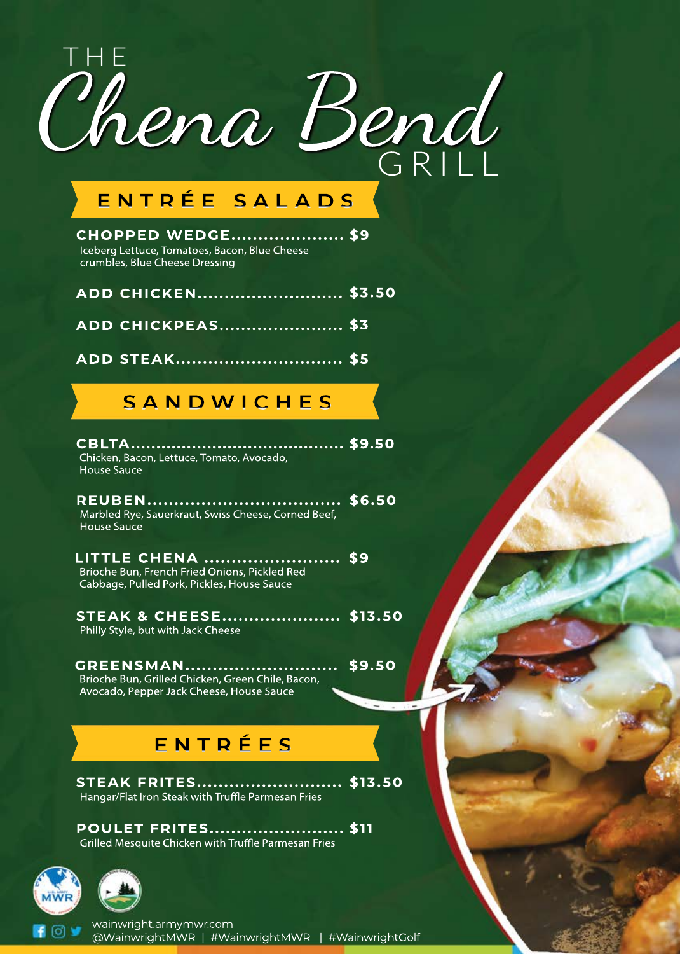

# **ENTRÉE SALADS**

**\$9 CHOPPED W EDGE.....................** Iceberg Lettuce, Tomatoes, Bacon, Blue Cheese crumbles, Blue Cheese Dressing

**ADD CHICKPEAS.......................\$3 ADD CHICKEN...........................\$3.50**

**ADD STEAK...............................\$5**

# **SANDW ICHES**

**\$9.50 CBLTA..........................................** Chicken, Bacon, Lettuce, Tomato, Avocado, House Sauce

**\$6.50 REUBEN....................................** Marbled Rye, Sauerkraut, Swiss Cheese, Corned Beef, House Sauce

**\$9 LITTLECHENA .........................** Brioche Bun, French Fried Onions, Pickled Red Cabbage, Pulled Pork, Pickles, House Sauce

**\$13.50 STEAK & CHEESE......................** Philly Style, but with Jack Cheese

Brioche Bun, Grilled Chicken, Green Chile, Bacon, Avocado, Pepper Jack Cheese, House Sauce **GREENSMAN............................**

**\$9.50**

# **ENTRÉES**

**\$13.50 STEAK FRITES...........................** Hangar/Flat Iron Steak with Truffle Parmesan Fries

**POULET FRITES...............................\$11** Grilled Mesquite Chicken with Truffle Parmesan Fries



wainwright.armymwr.com

@WainwrightMWR |#WainwrightMWR |#WainwrightGolf